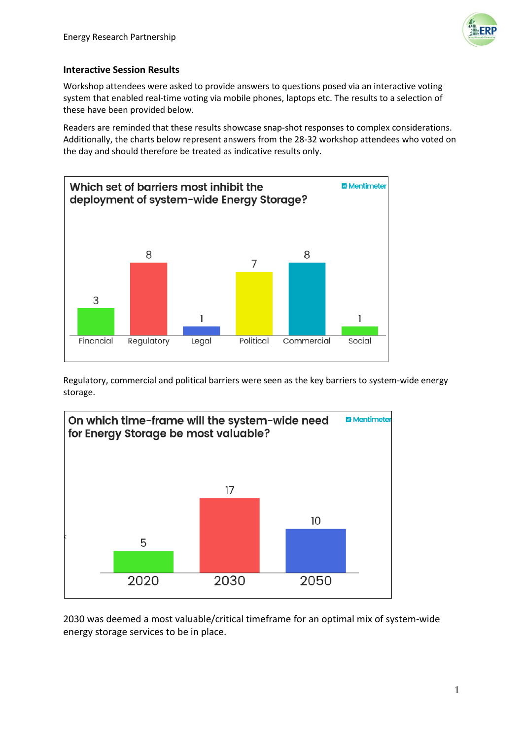

## **Interactive Session Results**

Workshop attendees were asked to provide answers to questions posed via an interactive voting system that enabled real-time voting via mobile phones, laptops etc. The results to a selection of these have been provided below.

Readers are reminded that these results showcase snap-shot responses to complex considerations. Additionally, the charts below represent answers from the 28-32 workshop attendees who voted on the day and should therefore be treated as indicative results only.



Regulatory, commercial and political barriers were seen as the key barriers to system-wide energy storage.



2030 was deemed a most valuable/critical timeframe for an optimal mix of system-wide energy storage services to be in place.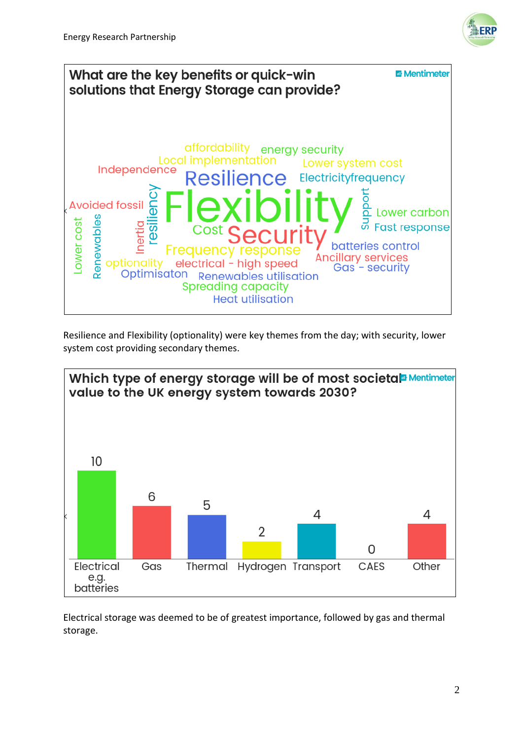



Resilience and Flexibility (optionality) were key themes from the day; with security, lower system cost providing secondary themes.



Electrical storage was deemed to be of greatest importance, followed by gas and thermal storage.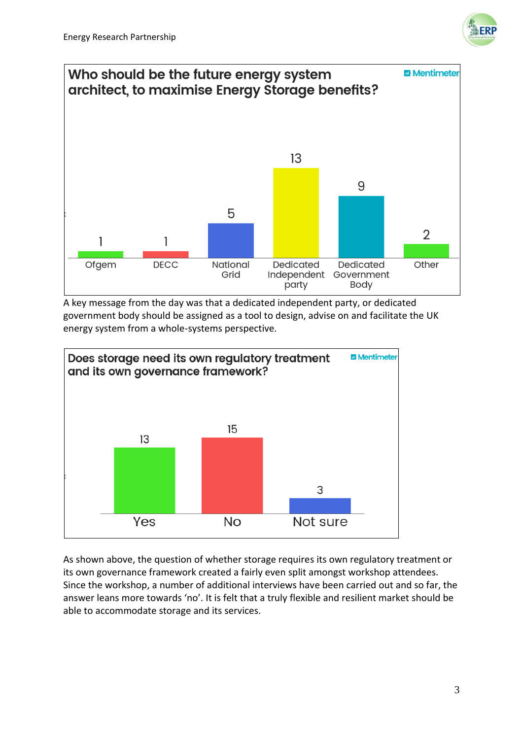



A key message from the day was that a dedicated independent party, or dedicated government body should be assigned as a tool to design, advise on and facilitate the UK energy system from a whole-systems perspective.



As shown above, the question of whether storage requires its own regulatory treatment or its own governance framework created a fairly even split amongst workshop attendees. Since the workshop, a number of additional interviews have been carried out and so far, the answer leans more towards 'no'. It is felt that a truly flexible and resilient market should be able to accommodate storage and its services.